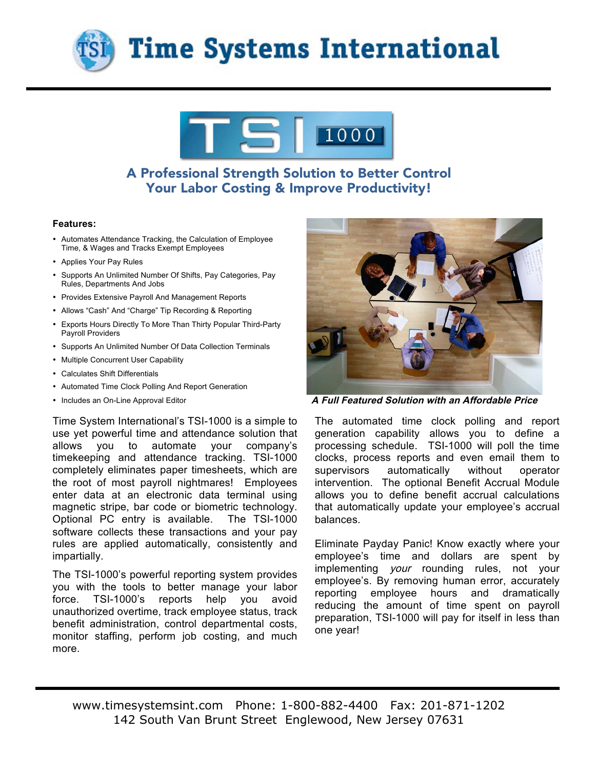



# A Professional Strength Solution to Better Control Your Labor Costing & Improve Productivity!

#### **Features:**

- Automates Attendance Tracking, the Calculation of Employee Time, & Wages and Tracks Exempt Employees
- Applies Your Pay Rules
- Supports An Unlimited Number Of Shifts, Pay Categories, Pay Rules, Departments And Jobs
- Provides Extensive Payroll And Management Reports
- Allows "Cash" And "Charge" Tip Recording & Reporting
- Exports Hours Directly To More Than Thirty Popular Third-Party Payroll Providers
- Supports An Unlimited Number Of Data Collection Terminals
- Multiple Concurrent User Capability
- Calculates Shift Differentials
- Automated Time Clock Polling And Report Generation
- 

Time System International's TSI-1000 is a simple to use yet powerful time and attendance solution that allows you to automate your company's timekeeping and attendance tracking. TSI-1000 completely eliminates paper timesheets, which are the root of most payroll nightmares! Employees enter data at an electronic data terminal using magnetic stripe, bar code or biometric technology. Optional PC entry is available. The TSI-1000 software collects these transactions and your pay rules are applied automatically, consistently and impartially.

The TSI-1000's powerful reporting system provides you with the tools to better manage your labor force. TSI-1000's reports help you avoid unauthorized overtime, track employee status, track benefit administration, control departmental costs, monitor staffing, perform job costing, and much more.



• Includes an On-Line Approval Editor **A Full Featured Solution with an Affordable Price** 

The automated time clock polling and report generation capability allows you to define a processing schedule. TSI-1000 will poll the time clocks, process reports and even email them to supervisors automatically without operator intervention. The optional Benefit Accrual Module allows you to define benefit accrual calculations that automatically update your employee's accrual balances.

Eliminate Payday Panic! Know exactly where your employee's time and dollars are spent by implementing *your* rounding rules, not your employee's. By removing human error, accurately reporting employee hours and dramatically reducing the amount of time spent on payroll preparation, TSI-1000 will pay for itself in less than one year!

www.timesystemsint.com Phone: 1-800-882-4400 Fax: 201-871-1202 142 South Van Brunt Street Englewood, New Jersey 07631